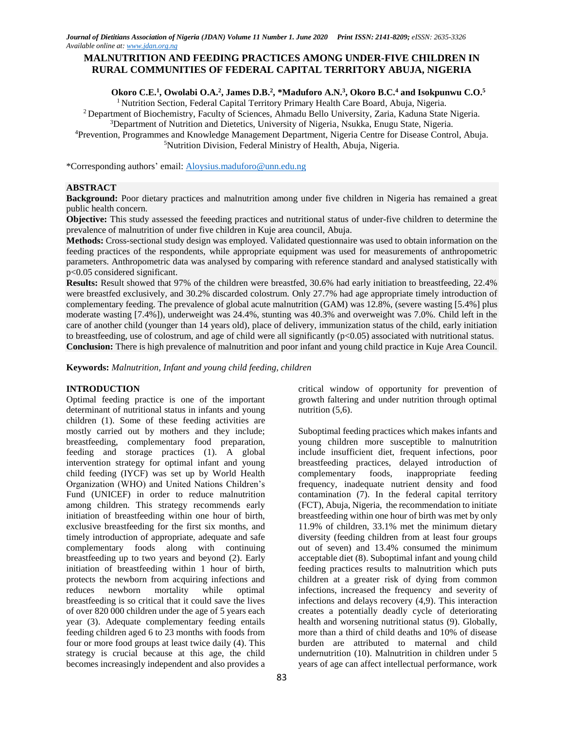# **MALNUTRITION AND FEEDING PRACTICES AMONG UNDER-FIVE CHILDREN IN RURAL COMMUNITIES OF FEDERAL CAPITAL TERRITORY ABUJA, NIGERIA**

## Okoro C.E.<sup>1</sup>, Owolabi O.A.<sup>2</sup>, James D.B.<sup>2</sup>, \*Maduforo A.N.<sup>3</sup>, Okoro B.C.<sup>4</sup> and Isokpunwu C.O.<sup>5</sup>

<sup>1</sup> Nutrition Section, Federal Capital Territory Primary Health Care Board, Abuja, Nigeria.

<sup>2</sup>Department of Biochemistry, Faculty of Sciences, Ahmadu Bello University, Zaria, Kaduna State Nigeria. <sup>3</sup>Department of Nutrition and Dietetics, University of Nigeria, Nsukka, Enugu State, Nigeria.

<sup>4</sup>Prevention, Programmes and Knowledge Management Department, Nigeria Centre for Disease Control, Abuja. <sup>5</sup>Nutrition Division, Federal Ministry of Health, Abuja, Nigeria.

\*Corresponding authors' email: [Aloysius.maduforo@unn.edu.ng](mailto:Aloysius.maduforo@unn.edu.ng)

# **ABSTRACT**

**Background:** Poor dietary practices and malnutrition among under five children in Nigeria has remained a great public health concern.

**Objective:** This study assessed the feeeding practices and nutritional status of under-five children to determine the prevalence of malnutrition of under five children in Kuje area council, Abuja.

**Methods:** Cross-sectional study design was employed. Validated questionnaire was used to obtain information on the feeding practices of the respondents, while appropriate equipment was used for measurements of anthropometric parameters. Anthropometric data was analysed by comparing with reference standard and analysed statistically with p<0.05 considered significant.

**Results:** Result showed that 97% of the children were breastfed, 30.6% had early initiation to breastfeeding, 22.4% were breastfed exclusively, and 30.2% discarded colostrum. Only 27.7% had age appropriate timely introduction of complementary feeding. The prevalence of global acute malnutrition (GAM) was 12.8%, (severe wasting [5.4%] plus moderate wasting [7.4%]), underweight was 24.4%, stunting was 40.3% and overweight was 7.0%. Child left in the care of another child (younger than 14 years old), place of delivery, immunization status of the child, early initiation to breastfeeding, use of colostrum, and age of child were all significantly (p<0.05) associated with nutritional status. **Conclusion:** There is high prevalence of malnutrition and poor infant and young child practice in Kuje Area Council.

**Keywords:** *Malnutrition, Infant and young child feeding, children*

## **INTRODUCTION**

Optimal feeding practice is one of the important determinant of nutritional status in infants and young children (1). Some of these feeding activities are mostly carried out by mothers and they include; breastfeeding, complementary food preparation, feeding and storage practices (1). A global intervention strategy for optimal infant and young child feeding (IYCF) was set up by World Health Organization (WHO) and United Nations Children's Fund (UNICEF) in order to reduce malnutrition among children. This strategy recommends early initiation of breastfeeding within one hour of birth, exclusive breastfeeding for the first six months, and timely introduction of appropriate, adequate and safe complementary foods along with continuing breastfeeding up to two years and beyond (2). Early initiation of breastfeeding within 1 hour of birth, protects the newborn from acquiring infections and reduces newborn mortality while optimal breastfeeding is so critical that it could save the lives of over 820 000 children under the age of 5 years each year (3). Adequate complementary feeding entails feeding children aged 6 to 23 months with foods from four or more food groups at least twice daily (4). This strategy is crucial because at this age, the child becomes increasingly independent and also provides a

growth faltering and under nutrition through optimal nutrition (5,6). Suboptimal feeding practices which makes infants and

critical window of opportunity for prevention of

young children more susceptible to malnutrition include insufficient diet, frequent infections, poor breastfeeding practices, delayed introduction of complementary foods, inappropriate feeding frequency, inadequate nutrient density and food contamination (7). In the federal capital territory (FCT), Abuja, Nigeria, the recommendation to initiate breastfeeding within one hour of birth was met by only 11.9% of children, 33.1% met the minimum dietary diversity (feeding children from at least four groups out of seven) and 13.4% consumed the minimum acceptable diet (8). Suboptimal infant and young child feeding practices results to malnutrition which puts children at a greater risk of dying from common infections, increased the frequency and severity of infections and delays recovery (4,9). This interaction creates a potentially deadly cycle of deteriorating health and worsening nutritional status (9). Globally, more than a third of child deaths and 10% of disease burden are attributed to maternal and child undernutrition (10). Malnutrition in children under 5 years of age can affect intellectual performance, work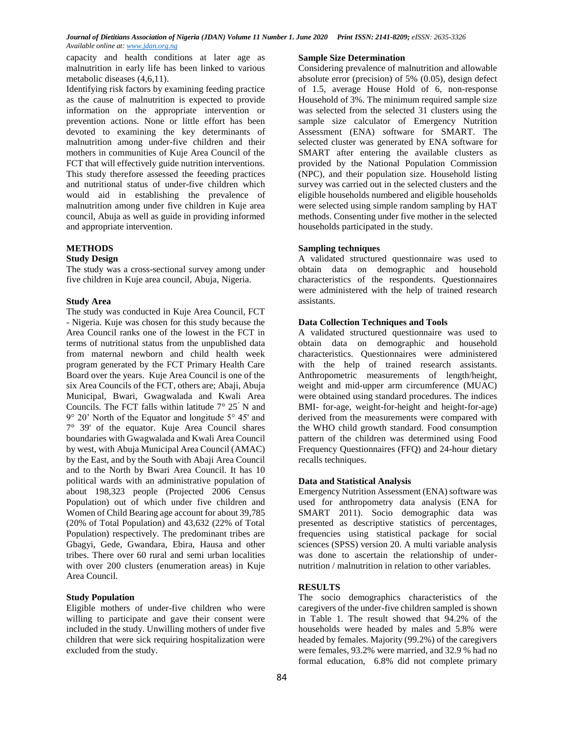capacity and health conditions at later age as malnutrition in early life has been linked to various metabolic diseases (4,6,11).

Identifying risk factors by examining feeding practice as the cause of malnutrition is expected to provide information on the appropriate intervention or prevention actions. None or little effort has been devoted to examining the key determinants of malnutrition among under-five children and their mothers in communities of Kuje Area Council of the FCT that will effectively guide nutrition interventions. This study therefore assessed the feeeding practices and nutritional status of under-five children which would aid in establishing the prevalence of malnutrition among under five children in Kuje area council, Abuja as well as guide in providing informed and appropriate intervention.

# **METHODS**

### **Study Design**

The study was a cross-sectional survey among under five children in Kuje area council, Abuja, Nigeria.

## **Study Area**

The study was conducted in Kuje Area Council, FCT - Nigeria. Kuje was chosen for this study because the Area Council ranks one of the lowest in the FCT in terms of nutritional status from the unpublished data from maternal newborn and child health week program generated by the FCT Primary Health Care Board over the years. Kuje Area Council is one of the six Area Councils of the FCT, others are; Abaji, Abuja Municipal, Bwari, Gwagwalada and Kwali Area Councils. The FCT falls within latitude 7° 25' N and 9° 20' North of the Equator and longitude 5° 45' and 7° 39' of the equator. Kuje Area Council shares boundaries with Gwagwalada and Kwali Area Council by west, with Abuja Municipal Area Council (AMAC) by the East, and by the South with Abaji Area Council and to the North by Bwari Area Council. It has 10 political wards with an administrative population of about 198,323 people (Projected 2006 Census Population) out of which under five children and Women of Child Bearing age account for about 39,785 (20% of Total Population) and 43,632 (22% of Total Population) respectively. The predominant tribes are Gbagyi, Gede, Gwandara, Ebira, Hausa and other tribes. There over 60 rural and semi urban localities with over 200 clusters (enumeration areas) in Kuje Area Council.

## **Study Population**

Eligible mothers of under-five children who were willing to participate and gave their consent were included in the study. Unwilling mothers of under five children that were sick requiring hospitalization were excluded from the study.

#### **Sample Size Determination**

Considering prevalence of malnutrition and allowable absolute error (precision) of 5% (0.05), design defect of 1.5, average House Hold of 6, non-response Household of 3%. The minimum required sample size was selected from the selected 31 clusters using the sample size calculator of Emergency Nutrition Assessment (ENA) software for SMART. The selected cluster was generated by ENA software for SMART after entering the available clusters as provided by the National Population Commission (NPC), and their population size. Household listing survey was carried out in the selected clusters and the eligible households numbered and eligible households were selected using simple random sampling by HAT methods. Consenting under five mother in the selected households participated in the study.

# **Sampling techniques**

A validated structured questionnaire was used to obtain data on demographic and household characteristics of the respondents. Questionnaires were administered with the help of trained research assistants.

### **Data Collection Techniques and Tools**

A validated structured questionnaire was used to obtain data on demographic and household characteristics. Questionnaires were administered with the help of trained research assistants. Anthropometric measurements of length/height, weight and mid-upper arm circumference (MUAC) were obtained using standard procedures. The indices BMI- for-age, weight-for-height and height-for-age) derived from the measurements were compared with the WHO child growth standard. Food consumption pattern of the children was determined using Food Frequency Questionnaires (FFQ) and 24-hour dietary recalls techniques.

## **Data and Statistical Analysis**

Emergency Nutrition Assessment (ENA) software was used for anthropometry data analysis (ENA for SMART 2011). Socio demographic data was presented as descriptive statistics of percentages, frequencies using statistical package for social sciences (SPSS) version 20. A multi variable analysis was done to ascertain the relationship of undernutrition / malnutrition in relation to other variables.

# **RESULTS**

The socio demographics characteristics of the caregivers of the under-five children sampled is shown in Table 1. The result showed that 94.2% of the households were headed by males and 5.8% were headed by females. Majority (99.2%) of the caregivers were females, 93.2% were married, and 32.9 % had no formal education, 6.8% did not complete primary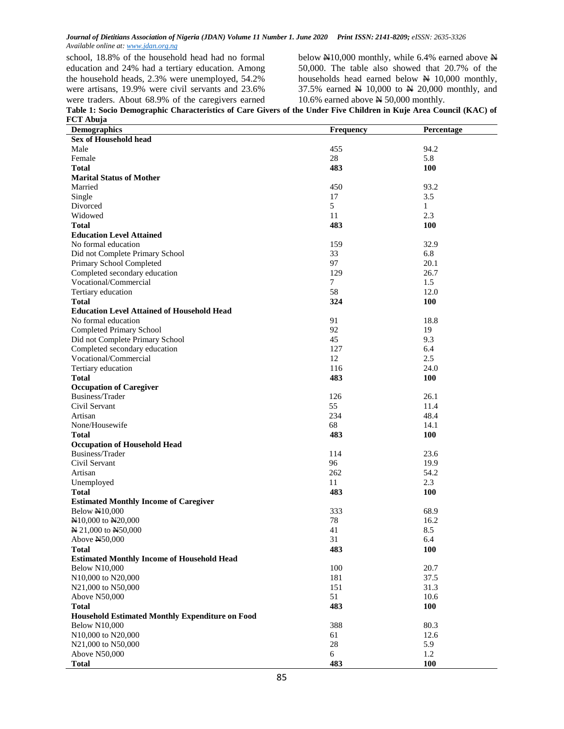school, 18.8% of the household head had no formal education and 24% had a tertiary education. Among the household heads, 2.3% were unemployed, 54.2% were artisans, 19.9% were civil servants and 23.6% were traders. About 68.9% of the caregivers earned below  $N10,000$  monthly, while 6.4% earned above N 50,000. The table also showed that 20.7% of the households head earned below  $\cancel{\text{N}}$  10,000 monthly, 37.5% earned  $N$  10,000 to  $N$  20,000 monthly, and 10.6% earned above  $N$  50,000 monthly.

**Table 1: Socio Demographic Characteristics of Care Givers of the Under Five Children in Kuje Area Council (KAC) of FCT Abuja**

| <b>Demographics</b>                                                      | <b>Frequency</b> | Percentage |
|--------------------------------------------------------------------------|------------------|------------|
| <b>Sex of Household head</b>                                             |                  |            |
| Male                                                                     | 455              | 94.2       |
| Female                                                                   | 28               | 5.8        |
| Total                                                                    | 483              | 100        |
| <b>Marital Status of Mother</b>                                          |                  |            |
| Married                                                                  | 450              | 93.2       |
| Single                                                                   | 17               | 3.5        |
| Divorced                                                                 | 5                | 1          |
| Widowed                                                                  | 11               | 2.3        |
| <b>Total</b>                                                             | 483              | <b>100</b> |
| <b>Education Level Attained</b>                                          |                  |            |
| No formal education                                                      | 159              | 32.9       |
| Did not Complete Primary School                                          | 33               | 6.8        |
| Primary School Completed                                                 | 97               | 20.1       |
| Completed secondary education                                            | 129              | 26.7       |
| Vocational/Commercial                                                    | 7                | 1.5        |
|                                                                          | 58               | 12.0       |
| Tertiary education                                                       |                  |            |
| <b>Total</b>                                                             | 324              | <b>100</b> |
| <b>Education Level Attained of Household Head</b><br>No formal education |                  |            |
|                                                                          | 91               | 18.8       |
| Completed Primary School                                                 | 92               | 19         |
| Did not Complete Primary School                                          | 45               | 9.3        |
| Completed secondary education                                            | 127              | 6.4        |
| Vocational/Commercial                                                    | 12               | 2.5        |
| Tertiary education                                                       | 116              | 24.0       |
| <b>Total</b>                                                             | 483              | 100        |
| <b>Occupation of Caregiver</b>                                           |                  |            |
| Business/Trader                                                          | 126              | 26.1       |
| Civil Servant                                                            | 55               | 11.4       |
| Artisan                                                                  | 234              | 48.4       |
| None/Housewife                                                           | 68               | 14.1       |
| Total                                                                    | 483              | <b>100</b> |
| <b>Occupation of Household Head</b>                                      |                  |            |
| Business/Trader                                                          | 114              | 23.6       |
| Civil Servant                                                            | 96               | 19.9       |
| Artisan                                                                  | 262              | 54.2       |
| Unemployed                                                               | 11               | 2.3        |
| <b>Total</b>                                                             | 483              | <b>100</b> |
| <b>Estimated Monthly Income of Caregiver</b>                             |                  |            |
| <b>Below N10,000</b>                                                     | 333              | 68.9       |
| N <sub>10</sub> ,000 to N <sub>20</sub> ,000                             | 78               | 16.2       |
| N 21,000 to N50,000                                                      | 41               | 8.5        |
| Above N50,000                                                            | 31               | 6.4        |
| Total                                                                    | 483              | 100        |
| <b>Estimated Monthly Income of Household Head</b>                        |                  |            |
| <b>Below N10,000</b>                                                     | 100              | 20.7       |
| N10,000 to N20,000                                                       | 181              | 37.5       |
| N21,000 to N50,000                                                       | 151              | 31.3       |
| Above N50,000                                                            | 51               | 10.6       |
| <b>Total</b>                                                             | 483              | 100        |
| <b>Household Estimated Monthly Expenditure on Food</b>                   |                  |            |
| <b>Below N10,000</b>                                                     | 388              | 80.3       |
| N10,000 to N20,000                                                       | 61               | 12.6       |
| N21,000 to N50,000                                                       | $28\,$           | 5.9        |
| Above N50,000                                                            | 6                | 1.2        |
| <b>Total</b>                                                             | 483              | <b>100</b> |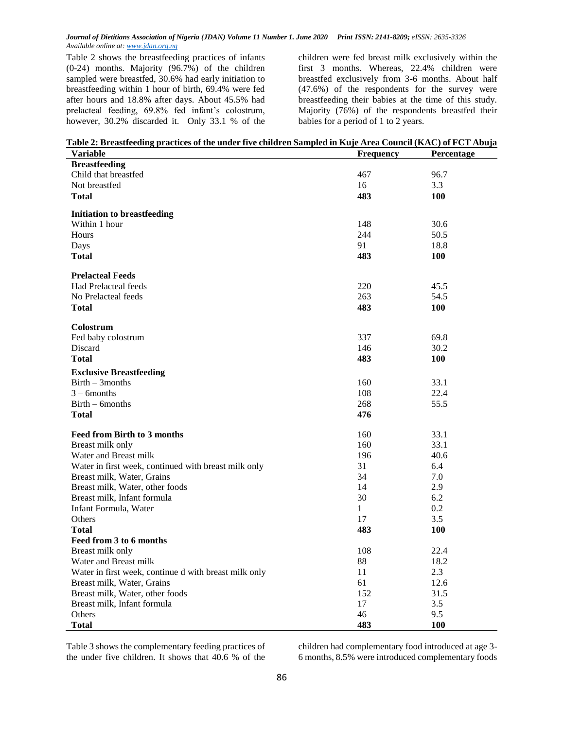Table 2 shows the breastfeeding practices of infants (0-24) months. Majority (96.7%) of the children sampled were breastfed, 30.6% had early initiation to breastfeeding within 1 hour of birth, 69.4% were fed after hours and 18.8% after days. About 45.5% had prelacteal feeding, 69.8% fed infant's colostrum, however, 30.2% discarded it. Only 33.1 % of the children were fed breast milk exclusively within the first 3 months. Whereas, 22.4% children were breastfed exclusively from 3-6 months. About half (47.6%) of the respondents for the survey were breastfeeding their babies at the time of this study. Majority (76%) of the respondents breastfed their babies for a period of 1 to 2 years.

| Table 2: Breastfeeding practices of the under five children Sampled in Kuje Area Council (KAC) of FCT Abuja |                  |                   |
|-------------------------------------------------------------------------------------------------------------|------------------|-------------------|
| Variable                                                                                                    | <b>Frequency</b> | <b>Percentage</b> |

| Variable                                              | Frequency    | Percentage |
|-------------------------------------------------------|--------------|------------|
| <b>Breastfeeding</b>                                  |              |            |
| Child that breastfed                                  | 467          | 96.7       |
| Not breastfed                                         | 16           | 3.3        |
| <b>Total</b>                                          | 483          | <b>100</b> |
|                                                       |              |            |
| <b>Initiation to breastfeeding</b>                    |              |            |
| Within 1 hour                                         | 148          | 30.6       |
| <b>Hours</b>                                          | 244          | 50.5       |
| Days                                                  | 91           | 18.8       |
| <b>Total</b>                                          | 483          | <b>100</b> |
|                                                       |              |            |
| <b>Prelacteal Feeds</b>                               |              |            |
| <b>Had Prelacteal feeds</b>                           | 220          | 45.5       |
| No Prelacteal feeds                                   | 263          | 54.5       |
| <b>Total</b>                                          | 483          | <b>100</b> |
|                                                       |              |            |
| Colostrum                                             |              |            |
| Fed baby colostrum                                    | 337          | 69.8       |
| Discard                                               | 146          | 30.2       |
| <b>Total</b>                                          | 483          | <b>100</b> |
| <b>Exclusive Breastfeeding</b>                        |              |            |
| $Birth-3 months$                                      | 160          | 33.1       |
| $3 - 6$ months                                        | 108          | 22.4       |
| $Birth - 6 months$                                    | 268          | 55.5       |
| <b>Total</b>                                          | 476          |            |
|                                                       |              |            |
| <b>Feed from Birth to 3 months</b>                    | 160          | 33.1       |
| Breast milk only                                      | 160          | 33.1       |
| Water and Breast milk                                 | 196          | 40.6       |
| Water in first week, continued with breast milk only  | 31           | 6.4        |
| Breast milk, Water, Grains                            | 34           | 7.0        |
| Breast milk, Water, other foods                       | 14           | 2.9        |
| Breast milk, Infant formula                           | 30           | 6.2        |
| Infant Formula, Water                                 | $\mathbf{1}$ | 0.2        |
| <b>Others</b>                                         | 17           | 3.5        |
| <b>Total</b>                                          | 483          | 100        |
| Feed from 3 to 6 months                               |              |            |
| Breast milk only                                      | 108          | 22.4       |
| Water and Breast milk                                 | 88           | 18.2       |
| Water in first week, continue d with breast milk only | 11           | 2.3        |
| Breast milk, Water, Grains                            | 61           | 12.6       |
| Breast milk, Water, other foods                       | 152          | 31.5       |
| Breast milk, Infant formula                           | 17           | 3.5        |
| Others                                                | 46           | 9.5        |
| Total                                                 | 483          | <b>100</b> |

Table 3 shows the complementary feeding practices of the under five children. It shows that 40.6 % of the

children had complementary food introduced at age 3- 6 months, 8.5% were introduced complementary foods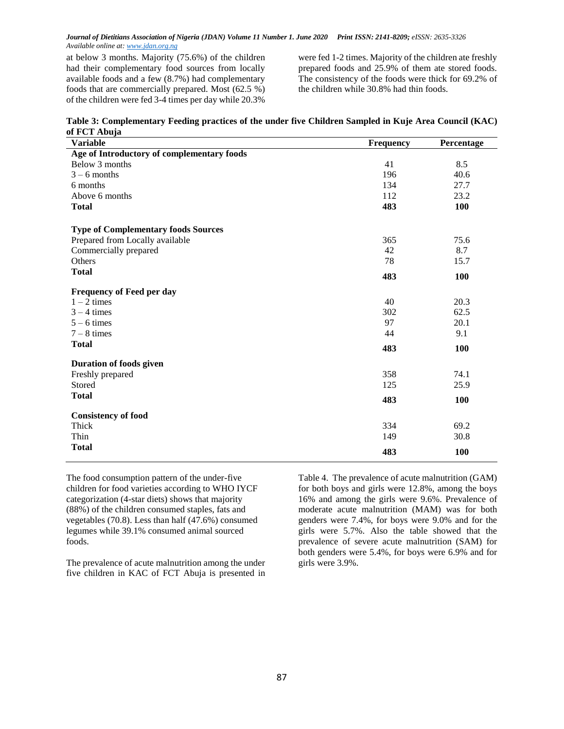at below 3 months. Majority (75.6%) of the children had their complementary food sources from locally available foods and a few (8.7%) had complementary foods that are commercially prepared. Most (62.5 %) of the children were fed 3-4 times per day while 20.3%

were fed 1-2 times. Majority of the children ate freshly prepared foods and 25.9% of them ate stored foods. The consistency of the foods were thick for 69.2% of the children while 30.8% had thin foods.

| Table 3: Complementary Feeding practices of the under five Children Sampled in Kuje Area Council (KAC) |  |
|--------------------------------------------------------------------------------------------------------|--|
| of FCT Abuja                                                                                           |  |

| <b>Variable</b>                            | Frequency | Percentage |
|--------------------------------------------|-----------|------------|
| Age of Introductory of complementary foods |           |            |
| Below 3 months                             | 41        | 8.5        |
| $3 - 6$ months                             | 196       | 40.6       |
| 6 months                                   | 134       | 27.7       |
| Above 6 months                             | 112       | 23.2       |
| <b>Total</b>                               | 483       | 100        |
| <b>Type of Complementary foods Sources</b> |           |            |
| Prepared from Locally available            | 365       | 75.6       |
| Commercially prepared                      | 42        | 8.7        |
| Others                                     | 78        | 15.7       |
| <b>Total</b>                               | 483       | 100        |
| <b>Frequency of Feed per day</b>           |           |            |
| $1 - 2$ times                              | 40        | 20.3       |
| $3 - 4$ times                              | 302       | 62.5       |
| $5 - 6$ times                              | 97        | 20.1       |
| $7 - 8$ times                              | 44        | 9.1        |
| <b>Total</b>                               | 483       | 100        |
| Duration of foods given                    |           |            |
| Freshly prepared                           | 358       | 74.1       |
| Stored                                     | 125       | 25.9       |
| <b>Total</b>                               | 483       | 100        |
| <b>Consistency of food</b>                 |           |            |
| Thick                                      | 334       | 69.2       |
| Thin                                       | 149       | 30.8       |
| <b>Total</b>                               | 483       | 100        |

The food consumption pattern of the under-five children for food varieties according to WHO IYCF categorization (4-star diets) shows that majority (88%) of the children consumed staples, fats and vegetables (70.8). Less than half (47.6%) consumed legumes while 39.1% consumed animal sourced foods.

The prevalence of acute malnutrition among the under five children in KAC of FCT Abuja is presented in

Table 4. The prevalence of acute malnutrition (GAM) for both boys and girls were 12.8%, among the boys 16% and among the girls were 9.6%. Prevalence of moderate acute malnutrition (MAM) was for both genders were 7.4%, for boys were 9.0% and for the girls were 5.7%. Also the table showed that the prevalence of severe acute malnutrition (SAM) for both genders were 5.4%, for boys were 6.9% and for girls were 3.9%.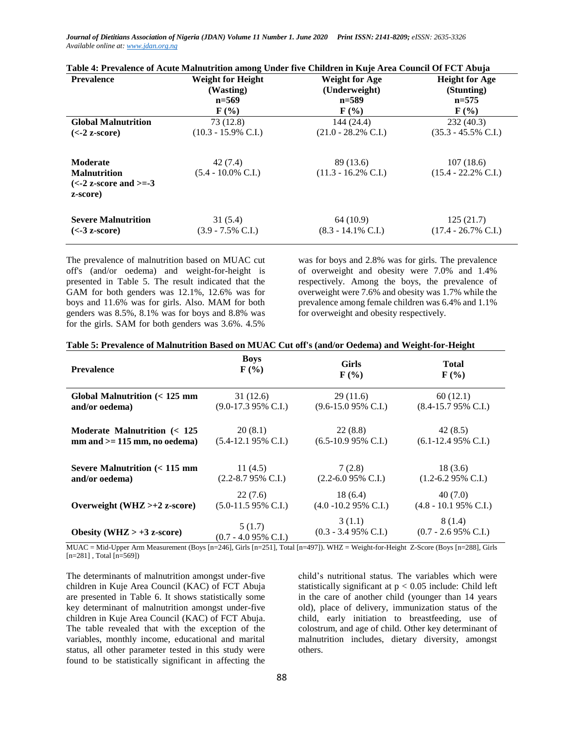**Table 4: Prevalence of Acute Malnutrition among Under five Children in Kuje Area Council Of FCT Abuja**

| <b>Prevalence</b>                                          | <b>Weight for Height</b><br>(Wasting) | <b>Weight for Age</b><br>(Underweight) | <b>Height for Age</b><br>(Stunting) |
|------------------------------------------------------------|---------------------------------------|----------------------------------------|-------------------------------------|
|                                                            | $n = 569$                             | $n = 589$                              | $n=575$                             |
|                                                            | $\mathbf{F}(\mathcal{V}_0)$           | $\mathbf{F}(\mathcal{V}_0)$            | $\mathbf{F}$ (%)                    |
| <b>Global Malnutrition</b>                                 | 73 (12.8)                             | 144 (24.4)                             | 232(40.3)                           |
| $(<-2 z-score)$                                            | $(10.3 - 15.9\% \text{ C.I.})$        | $(21.0 - 28.2\% \text{ C.I.})$         | $(35.3 - 45.5\% \text{ C.I.})$      |
| <b>Moderate</b>                                            | 42(7.4)                               | 89 (13.6)                              | 107(18.6)                           |
| <b>Malnutrition</b>                                        | $(5.4 - 10.0\% \text{ C.I.})$         | $(11.3 - 16.2\% \text{ C.I.})$         | $(15.4 - 22.2\% \text{ C.I.})$      |
| $\left(\leq -2\right)$ z-score and $\geq = -3$<br>z-score) |                                       |                                        |                                     |
| <b>Severe Malnutrition</b>                                 | 31(5.4)                               | 64 (10.9)                              | 125(21.7)                           |
| $(<$ -3 z-score)                                           | $(3.9 - 7.5\% \text{ C.I.})$          | $(8.3 - 14.1\% \text{ C.I.})$          | $(17.4 - 26.7\% \text{ C.I.})$      |

The prevalence of malnutrition based on MUAC cut off's (and/or oedema) and weight-for-height is presented in Table 5. The result indicated that the GAM for both genders was 12.1%, 12.6% was for boys and 11.6% was for girls. Also. MAM for both genders was 8.5%, 8.1% was for boys and 8.8% was for the girls. SAM for both genders was 3.6%. 4.5%

was for boys and 2.8% was for girls. The prevalence of overweight and obesity were 7.0% and 1.4% respectively. Among the boys, the prevalence of overweight were 7.6% and obesity was 1.7% while the prevalence among female children was 6.4% and 1.1% for overweight and obesity respectively.

| Table 5: Prevalence of Malnutrition Based on MUAC Cut off's (and/or Oedema) and Weight-for-Height |  |  |  |
|---------------------------------------------------------------------------------------------------|--|--|--|
|                                                                                                   |  |  |  |

| <b>Prevalence</b>                   | <b>Boys</b>                    | <b>Girls</b>                    | <b>Total</b>                    |
|-------------------------------------|--------------------------------|---------------------------------|---------------------------------|
|                                     | $\mathbf{F}(\mathcal{C})$      | $\mathbf{F}(\mathcal{V}_0)$     | $\mathbf{F}(\mathcal{V}_0)$     |
| Global Malnutrition $(< 125$ mm     | 31(12.6)                       | 29(11.6)                        | 60(12.1)                        |
| and/or oedema)                      | $(9.0-17.395\% \text{ C.I.})$  | $(9.6-15.095\% \text{ C.I.})$   | $(8.4-15.795\% \text{ C.L.})$   |
| Moderate Malnutrition $\approx 125$ | 20(8.1)                        | 22(8.8)                         | 42(8.5)                         |
| $mm$ and $>=$ 115 mm, no oedema)    | $(5.4-12.195\% \text{ C.I.})$  | $(6.5-10.995\% \text{ C.I.})$   | $(6.1-12.495\% \text{ C.I.})$   |
| Severe Malnutrition $(< 115$ mm     | 11(4.5)                        | 7(2.8)                          | 18(3.6)                         |
| and/or oedema)                      | $(2.2 - 8.795\% \text{ C.I.})$ | $(2.2 - 6.095\% \text{ C.I.})$  | $(1.2 - 6.295\% \text{ C.I.})$  |
| Overweight (WHZ $> +2$ z-score)     | 22(7.6)                        | 18(6.4)                         | 40(7.0)                         |
|                                     | $(5.0-11.595\% \text{ C.I.})$  | $(4.0 - 10.295\% \text{ C.I.})$ | $(4.8 - 10.195\% \text{ C.I.})$ |
| Obesity (WHZ $> +3$ z-score)        | 5(1.7)                         | 3(1.1)                          | 8 (1.4)                         |
|                                     | $(0.7 - 4.095\% \text{ C.I.})$ | $(0.3 - 3.495\% \text{ C.I.})$  | $(0.7 - 2.695\% \text{ C.I.})$  |

MUAC = Mid-Upper Arm Measurement (Boys [n=246], Girls [n=251], Total [n=497]). WHZ = Weight-for-Height Z-Score (Boys [n=288], Girls  $[n=281]$ , Total  $[n=569]$ 

The determinants of malnutrition amongst under-five children in Kuje Area Council (KAC) of FCT Abuja are presented in Table 6. It shows statistically some key determinant of malnutrition amongst under-five children in Kuje Area Council (KAC) of FCT Abuja. The table revealed that with the exception of the variables, monthly income, educational and marital status, all other parameter tested in this study were found to be statistically significant in affecting the child's nutritional status. The variables which were statistically significant at  $p < 0.05$  include: Child left in the care of another child (younger than 14 years old), place of delivery, immunization status of the child, early initiation to breastfeeding, use of colostrum, and age of child. Other key determinant of malnutrition includes, dietary diversity, amongst others.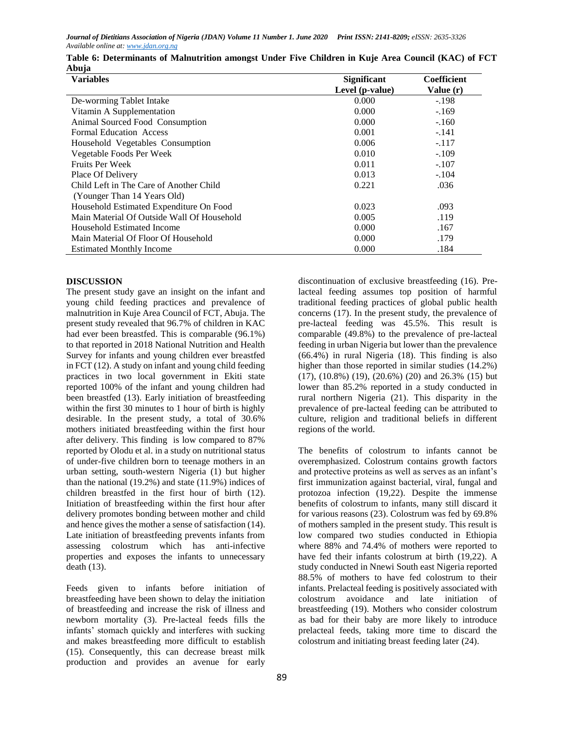| <b>Variables</b>                           | <b>Significant</b> | Coefficient |
|--------------------------------------------|--------------------|-------------|
|                                            | Level (p-value)    | Value $(r)$ |
| De-worming Tablet Intake                   | 0.000              | $-.198$     |
| Vitamin A Supplementation                  | 0.000              | $-.169$     |
| Animal Sourced Food Consumption            | 0.000              | $-.160$     |
| <b>Formal Education Access</b>             | 0.001              | $-.141$     |
| Household Vegetables Consumption           | 0.006              | $-.117$     |
| Vegetable Foods Per Week                   | 0.010              | $-.109$     |
| <b>Fruits Per Week</b>                     | 0.011              | $-.107$     |
| Place Of Delivery                          | 0.013              | $-.104$     |
| Child Left in The Care of Another Child    | 0.221              | .036        |
| (Younger Than 14 Years Old)                |                    |             |
| Household Estimated Expenditure On Food    | 0.023              | .093        |
| Main Material Of Outside Wall Of Household | 0.005              | .119        |
| Household Estimated Income                 | 0.000              | .167        |
| Main Material Of Floor Of Household        | 0.000              | .179        |
| <b>Estimated Monthly Income</b>            | 0.000              | .184        |

| Table 6: Determinants of Malnutrition amongst Under Five Children in Kuje Area Council (KAC) of FCT |  |  |  |  |  |
|-----------------------------------------------------------------------------------------------------|--|--|--|--|--|
| Abuja                                                                                               |  |  |  |  |  |

## **DISCUSSION**

The present study gave an insight on the infant and young child feeding practices and prevalence of malnutrition in Kuje Area Council of FCT, Abuja. The present study revealed that 96.7% of children in KAC had ever been breastfed. This is comparable (96.1%) to that reported in 2018 National Nutrition and Health Survey for infants and young children ever breastfed in FCT (12). A study on infant and young child feeding practices in two local government in Ekiti state reported 100% of the infant and young children had been breastfed (13). Early initiation of breastfeeding within the first 30 minutes to 1 hour of birth is highly desirable. In the present study, a total of 30.6% mothers initiated breastfeeding within the first hour after delivery. This finding is low compared to 87% reported by Olodu et al. in a study on nutritional status of under-five children born to teenage mothers in an urban setting, south-western Nigeria (1) but higher than the national (19.2%) and state (11.9%) indices of children breastfed in the first hour of birth (12). Initiation of breastfeeding within the first hour after delivery promotes bonding between mother and child and hence gives the mother a sense of satisfaction (14). Late initiation of breastfeeding prevents infants from assessing colostrum which has anti-infective properties and exposes the infants to unnecessary death (13).

Feeds given to infants before initiation of breastfeeding have been shown to delay the initiation of breastfeeding and increase the risk of illness and newborn mortality (3). Pre-lacteal feeds fills the infants' stomach quickly and interferes with sucking and makes breastfeeding more difficult to establish (15). Consequently, this can decrease breast milk production and provides an avenue for early

discontinuation of exclusive breastfeeding (16). Prelacteal feeding assumes top position of harmful traditional feeding practices of global public health concerns (17). In the present study, the prevalence of pre-lacteal feeding was 45.5%. This result is comparable (49.8%) to the prevalence of pre-lacteal feeding in urban Nigeria but lower than the prevalence (66.4%) in rural Nigeria (18). This finding is also higher than those reported in similar studies (14.2%) (17), (10.8%) (19), (20.6%) (20) and 26.3% (15) but lower than 85.2% reported in a study conducted in rural northern Nigeria (21). This disparity in the prevalence of pre-lacteal feeding can be attributed to culture, religion and traditional beliefs in different regions of the world.

The benefits of colostrum to infants cannot be overemphasized. Colostrum contains growth factors and protective proteins as well as serves as an infant's first immunization against bacterial, viral, fungal and protozoa infection (19,22). Despite the immense benefits of colostrum to infants, many still discard it for various reasons (23). Colostrum was fed by 69.8% of mothers sampled in the present study. This result is low compared two studies conducted in Ethiopia where 88% and 74.4% of mothers were reported to have fed their infants colostrum at birth (19,22). A study conducted in Nnewi South east Nigeria reported 88.5% of mothers to have fed colostrum to their infants. Prelacteal feeding is positively associated with colostrum avoidance and late initiation of breastfeeding (19). Mothers who consider colostrum as bad for their baby are more likely to introduce prelacteal feeds, taking more time to discard the colostrum and initiating breast feeding later (24).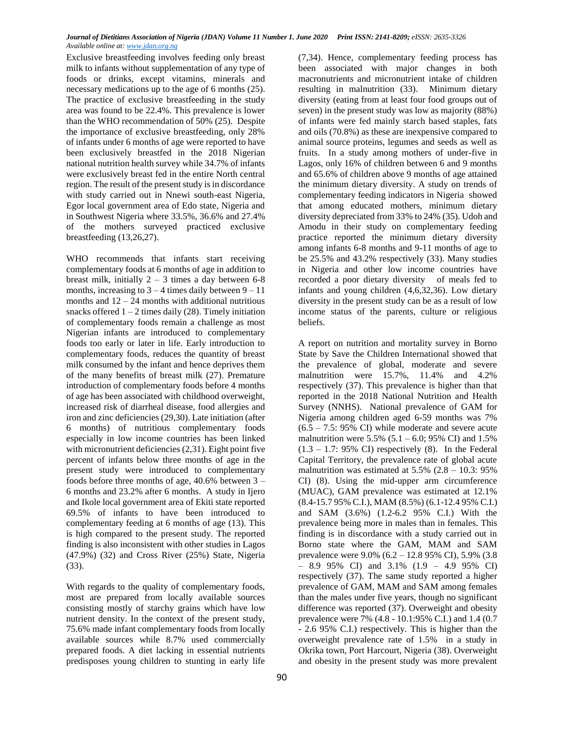Exclusive breastfeeding involves feeding only breast milk to infants without supplementation of any type of foods or drinks, except vitamins, minerals and necessary medications up to the age of 6 months (25). The practice of exclusive breastfeeding in the study area was found to be 22.4%. This prevalence is lower than the WHO recommendation of 50% (25). Despite the importance of exclusive breastfeeding, only 28% of infants under 6 months of age were reported to have been exclusively breastfed in the 2018 Nigerian national nutrition health survey while 34.7% of infants were exclusively breast fed in the entire North central region. The result of the present study is in discordance with study carried out in Nnewi south-east Nigeria, Egor local government area of Edo state, Nigeria and in Southwest Nigeria where 33.5%, 36.6% and 27.4% of the mothers surveyed practiced exclusive breastfeeding (13,26,27).

WHO recommends that infants start receiving complementary foods at 6 months of age in addition to breast milk, initially  $2 - 3$  times a day between 6-8 months, increasing to  $3 - 4$  times daily between  $9 - 11$ months and  $12 - 24$  months with additional nutritious snacks offered  $1 - 2$  times daily (28). Timely initiation of complementary foods remain a challenge as most Nigerian infants are introduced to complementary foods too early or later in life. Early introduction to complementary foods, reduces the quantity of breast milk consumed by the infant and hence deprives them of the many benefits of breast milk (27). Premature introduction of complementary foods before 4 months of age has been associated with childhood overweight, increased risk of diarrheal disease, food allergies and iron and zinc deficiencies (29,30). Late initiation (after 6 months) of nutritious complementary foods especially in low income countries has been linked with micronutrient deficiencies (2,31). Eight point five percent of infants below three months of age in the present study were introduced to complementary foods before three months of age, 40.6% between 3 – 6 months and 23.2% after 6 months. A study in Ijero and Ikole local government area of Ekiti state reported 69.5% of infants to have been introduced to complementary feeding at 6 months of age (13). This is high compared to the present study. The reported finding is also inconsistent with other studies in Lagos (47.9%) (32) and Cross River (25%) State, Nigeria (33).

With regards to the quality of complementary foods, most are prepared from locally available sources consisting mostly of starchy grains which have low nutrient density. In the context of the present study, 75.6% made infant complementary foods from locally available sources while 8.7% used commercially prepared foods. A diet lacking in essential nutrients predisposes young children to stunting in early life

(7,34). Hence, complementary feeding process has been associated with major changes in both macronutrients and micronutrient intake of children resulting in malnutrition (33). Minimum dietary diversity (eating from at least four food groups out of seven) in the present study was low as majority (88%) of infants were fed mainly starch based staples, fats and oils (70.8%) as these are inexpensive compared to animal source proteins, legumes and seeds as well as fruits. In a study among mothers of under-five in Lagos, only 16% of children between 6 and 9 months and 65.6% of children above 9 months of age attained the minimum dietary diversity. A study on trends of complementary feeding indicators in Nigeria showed that among educated mothers, minimum dietary diversity depreciated from 33% to 24% (35). Udoh and Amodu in their study on complementary feeding practice reported the minimum dietary diversity among infants 6-8 months and 9-11 months of age to be 25.5% and 43.2% respectively (33). Many studies in Nigeria and other low income countries have recorded a poor dietary diversity of meals fed to infants and young children (4,6,32,36). Low dietary diversity in the present study can be as a result of low income status of the parents, culture or religious beliefs.

A report on nutrition and mortality survey in Borno State by Save the Children International showed that the prevalence of global, moderate and severe malnutrition were 15.7%, 11.4% and 4.2% respectively (37). This prevalence is higher than that reported in the 2018 National Nutrition and Health Survey (NNHS). National prevalence of GAM for Nigeria among children aged 6-59 months was 7%  $(6.5 - 7.5: 95\% \text{ CI})$  while moderate and severe acute malnutrition were  $5.5\%$  (5.1 – 6.0; 95% CI) and 1.5%  $(1.3 - 1.7: 95\% \text{ CI})$  respectively  $(8)$ . In the Federal Capital Territory, the prevalence rate of global acute malnutrition was estimated at  $5.5\%$  (2.8 – 10.3: 95%) CI) (8). Using the mid-upper arm circumference (MUAC), GAM prevalence was estimated at 12.1% (8.4-15.7 95% C.I.), MAM (8.5%) (6.1-12.4 95% C.I.) and SAM (3.6%) (1.2-6.2 95% C.I.) With the prevalence being more in males than in females. This finding is in discordance with a study carried out in Borno state where the GAM, MAM and SAM prevalence were 9.0% (6.2 – 12.8 95% CI), 5.9% (3.8  $-$  8.9 95% CI) and 3.1% (1.9 – 4.9 95% CI) respectively (37). The same study reported a higher prevalence of GAM, MAM and SAM among females than the males under five years, though no significant difference was reported (37). Overweight and obesity prevalence were 7% (4.8 - 10.1:95% C.I.) and 1.4 (0.7 - 2.6 95% C.I.) respectively. This is higher than the overweight prevalence rate of 1.5% in a study in Okrika town, Port Harcourt, Nigeria (38). Overweight and obesity in the present study was more prevalent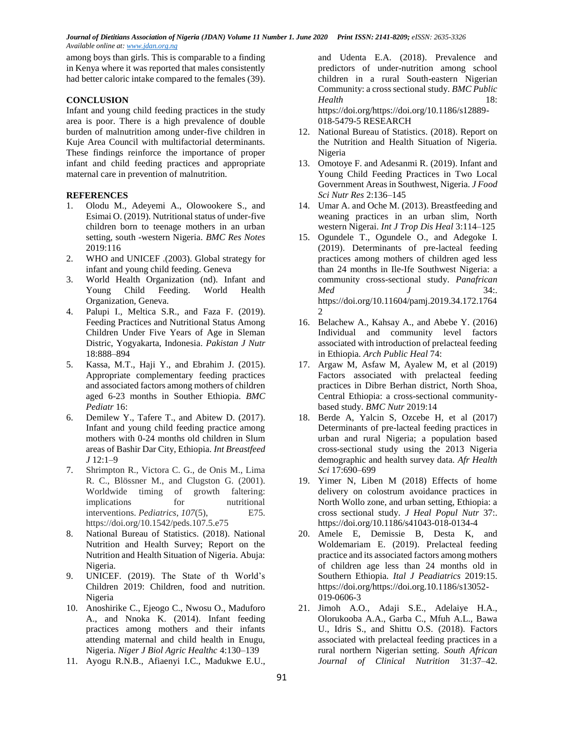among boys than girls. This is comparable to a finding in Kenya where it was reported that males consistently had better caloric intake compared to the females (39).

### **CONCLUSION**

Infant and young child feeding practices in the study area is poor. There is a high prevalence of double burden of malnutrition among under-five children in Kuje Area Council with multifactorial determinants. These findings reinforce the importance of proper infant and child feeding practices and appropriate maternal care in prevention of malnutrition.

### **REFERENCES**

- 1. Olodu M., Adeyemi A., Olowookere S., and Esimai O. (2019). Nutritional status of under-five children born to teenage mothers in an urban setting, south -western Nigeria. *BMC Res Notes* 2019:116
- 2. WHO and UNICEF .(2003). Global strategy for infant and young child feeding. Geneva
- 3. World Health Organization (nd). Infant and Young Child Feeding. World Health Organization, Geneva.
- 4. Palupi I., Meltica S.R., and Faza F. (2019). Feeding Practices and Nutritional Status Among Children Under Five Years of Age in Sleman Distric, Yogyakarta, Indonesia. *Pakistan J Nutr* 18:888–894
- 5. Kassa, M.T., Haji Y., and Ebrahim J. (2015). Appropriate complementary feeding practices and associated factors among mothers of children aged 6-23 months in Souther Ethiopia. *BMC Pediatr* 16:
- 6. Demilew Y., Tafere T., and Abitew D. (2017). Infant and young child feeding practice among mothers with 0-24 months old children in Slum areas of Bashir Dar City, Ethiopia. *Int Breastfeed J* 12:1–9
- 7. Shrimpton R., Victora C. G., de Onis M., Lima R. C., Blössner M., and Clugston G. (2001). Worldwide timing of growth faltering: implications for nutritional interventions. *Pediatrics*, *107*(5), E75. https://doi.org/10.1542/peds.107.5.e75
- 8. National Bureau of Statistics. (2018). National Nutrition and Health Survey; Report on the Nutrition and Health Situation of Nigeria. Abuja: Nigeria.
- 9. UNICEF. (2019). The State of th World's Children 2019: Children, food and nutrition. Nigeria
- 10. Anoshirike C., Ejeogo C., Nwosu O., Maduforo A., and Nnoka K. (2014). Infant feeding practices among mothers and their infants attending maternal and child health in Enugu, Nigeria. *Niger J Biol Agric Healthc* 4:130–139
- 11. Ayogu R.N.B., Afiaenyi I.C., Madukwe E.U.,

and Udenta E.A. (2018). Prevalence and predictors of under-nutrition among school children in a rural South-eastern Nigerian Community: a cross sectional study. *BMC Public Health* 18: https://doi.org/https://doi.org/10.1186/s12889-

018-5479-5 RESEARCH

- 12. National Bureau of Statistics. (2018). Report on the Nutrition and Health Situation of Nigeria. Nigeria
- 13. Omotoye F. and Adesanmi R. (2019). Infant and Young Child Feeding Practices in Two Local Government Areas in Southwest, Nigeria. *J Food Sci Nutr Res* 2:136–145
- 14. Umar A. and Oche M. (2013). Breastfeeding and weaning practices in an urban slim, North western Nigerai. *Int J Trop Dis Heal* 3:114–125
- 15. Ogundele T., Ogundele O., and Adegoke I. (2019). Determinants of pre-lacteal feeding practices among mothers of children aged less than 24 months in Ile-Ife Southwest Nigeria: a community cross-sectional study. *Panafrican Med J* 34:. https://doi.org/10.11604/pamj.2019.34.172.1764  $\mathcal{D}_{\mathcal{L}}$
- 16. Belachew A., Kahsay A., and Abebe Y. (2016) Individual and community level factors associated with introduction of prelacteal feeding in Ethiopia. *Arch Public Heal* 74:
- 17. Argaw M, Asfaw M, Ayalew M, et al (2019) Factors associated with prelacteal feeding practices in Dibre Berhan district, North Shoa, Central Ethiopia: a cross-sectional communitybased study. *BMC Nutr* 2019:14
- 18. Berde A, Yalcin S, Ozcebe H, et al (2017) Determinants of pre-lacteal feeding practices in urban and rural Nigeria; a population based cross-sectional study using the 2013 Nigeria demographic and health survey data. *Afr Health Sci* 17:690–699
- 19. Yimer N, Liben M (2018) Effects of home delivery on colostrum avoidance practices in North Wollo zone, and urban setting, Ethiopia: a cross sectional study. *J Heal Popul Nutr* 37:. https://doi.org/10.1186/s41043-018-0134-4
- 20. Amele E, Demissie B, Desta K, and Woldemariam E. (2019). Prelacteal feeding practice and its associated factors among mothers of children age less than 24 months old in Southern Ethiopia. *Ital J Peadiatrics* 2019:15. https://doi.org/https://doi.org.10.1186/s13052- 019-0606-3
- 21. Jimoh A.O., Adaji S.E., Adelaiye H.A., Olorukooba A.A., Garba C., Mfuh A.L., Bawa U., Idris S., and Shittu O.S. (2018). Factors associated with prelacteal feeding practices in a rural northern Nigerian setting. *South African Journal of Clinical Nutrition* 31:37–42.